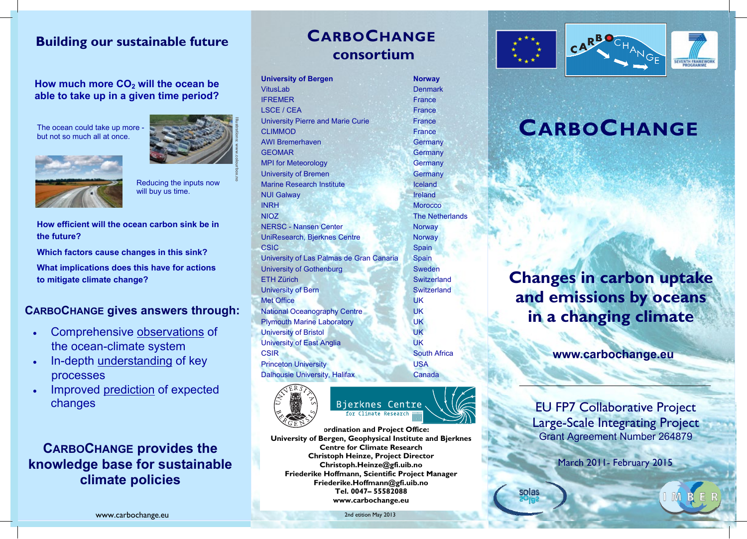# **Building our sustainable future Building our sustainable future Building our sustainable future Building our sustainable future Building our sustainable future**

**How much more CO2 will the ocean be How much more CO2 will the ocean be How much more CO2 will the ocean be How much more CO2 will the ocean be How much more CO2 will the ocean be**   $1000$  much more  $0.02$  will the ocean be<br>able to take up in a given time period?

The ocean could take up more - The ocean could take up more - The ocean could take up more - The ocean could take up more but not so much all at once. but not so much all at once. but not so much all at once. be ocean could take up more The ocean could take up mo





Reducing the inputs now Reducing the inputs now Reducing the inputs now Reducing the inputs now will buy us time. will buy us time. will buy us time. equang me inpui Reducing the inputs now Reducing the inp

How efficient will the ocean carbon sink be in **the future? the future? the future? the future? the future?** 

Which factors cause changes in this sink?

**What implications does this have for actions to mitigate climate change? to mitigate climate change? to mitigate climate change? to mitigate climate change? to mitigate control of the control of the control of the control of the control of the control of the control of the control of the control of the control of the control of the control of the control of the control of the** 

## **CARBOCHANGE gives answers through: CARBOCHANGE gives answers through: CARBOCHANGE gives answers through: CARBOCHANGE gives answers through: CARBOCHANGE gives answers through:**

- Comprehensive **observations** of the ocean-climate system the ocean-climate system the ocean-climate system the ocean-climate system the ocean-climate system
- In-depth understanding of key In-depth understanding of key In-depth understanding of key In-depth understanding of key In-depth understanding of key processes processes processes processes processes
- Improved prediction of expected Improved prediction of expected Improved prediction of expected Improved prediction of expected Improved prediction of expected changes changes changes changes changes

**CARBOCHANGE provides the CARBOCHANGE provides the CARBOCHANGE provides the CARBOCHANGE provides the CARBOCHANGE provides the knowledge base for sustainable knowledge base for sustainable knowledge base for sustainable knowledge base for sustainable knowledge base for sustainable climate policies climate policies climate policies climate policies climate policies** 

# **CARBOCHANGE CARBOCHANGE CARBOCHANGE CARBOCHANGE CARBOCHANGE consortium consortium consortium consortium consortium**

| <b>University of Bergen</b>              | <b>Norway</b>          |
|------------------------------------------|------------------------|
| <b>VitusLab</b>                          | <b>Denmark</b>         |
| <b>IFREMER</b>                           | France                 |
| <b>LSCE / CEA</b>                        | France                 |
| <b>University Pierre and Marie Curie</b> | France                 |
| <b>CLIMMOD</b>                           | France                 |
| <b>AWI Bremerhaven</b>                   | Germany                |
| <b>GEOMAR</b>                            | Germany                |
| <b>MPI for Meteorology</b>               | Germany                |
| <b>University of Bremen</b>              | Germany                |
| <b>Marine Research Institute</b>         | Iceland                |
| <b>NUI Galway</b>                        | Ireland                |
| <b>INRH</b>                              | <b>Morocco</b>         |
| NIOZ                                     | <b>The Netherlands</b> |
| <b>NERSC - Nansen Center</b>             | <b>Norway</b>          |
| UniResearch, Bjerknes Centre             | <b>Norway</b>          |
| <b>CSIC</b>                              | Spain                  |
| University of Las Palmas de Gran Canaria | <b>Spain</b>           |
| University of Gothenburg                 | Sweden                 |
| <b>ETH Zürich</b>                        | Switzerland            |
| <b>University of Bern</b>                | Switzerland            |
| <b>Met Office</b>                        | <b>UK</b>              |
| <b>National Oceanography Centre</b>      | <b>UK</b>              |
| <b>Plymouth Marine Laboratory</b>        | <b>UK</b>              |
| <b>University of Bristol</b>             | UK                     |
| <b>University of East Anglia</b>         | <b>UK</b>              |
| CSIR                                     | <b>South Africa</b>    |
| <b>Princeton University</b>              | <b>USA</b>             |
| Dalhousie University, Halifax            | Canada                 |
|                                          |                        |



**Coordination and Project Office:** University of Bergen, Geophysical Institute and Bjerknes **Centre for Climate Research Centre for Climate Research Centre for Climate Research Christoph Heinze, Project Director Christoph Heinze, Project Director Control of Christoph Heinze, Project Director Christoph.Heinze@gfi.uib.no** Friederike Hoffmann, Scientific Project Manager **Friederike.Hoffmann@gfi.uib.no Friederike.Hoffmann@gfi.uib.no Friederike.Hoffmann@gfi.uib.no Tel. 0047– 55582088 Tel. 0047– 55582088 Tel. 0047– 55582088 Tel. 0047– 55582088 Tel. 0047– 55582088 www.carbochange.eu www.carbochange.eu www.carbochange.eu www.carbochange.eu www.carbochange.eu University of Bergen and Project Office: UNIVERGIST OF A LIGAN INSTITUTE AND STRIP IN STRIP IS STRIP IN A LIGAN IN A LIGAN IN A LIGAN IN A LIGAN IN A LIGAN IN A LIGAN IN A LIGAN IN A LIGAN IN A LIGAN IN A LIGAN IN A LIGAN IN A LIGAN IN A LIGAN IN A LIGAN IN A LI** 



# **CARBOCHANGE CARBOCHANGE CARBOCHANGE CARBOCHANGE CARBOCHANGE**

**Changes in carbon uptake Changes in carbon uptake Changes in carbon uptake Changes in carbon uptake Changes in carbon uptake and emissions by oceans and emissions by oceans and emissions by oceans and emissions by oceans and emissions by oceans in a changing climate in a changing climate in a changing climate in a changing climate in a changing climate** 

**www.carbochange.eu www.carbochange.eu www.carbochange.eu www.carbochange.eu www.carbochange.eu** 

EU FP7 Collaborative Project EU FP7 Collaborative Project EU FP7 Collaborative Project EU FP7 Collaborative Project EU FP7 Collaborative Project Large-Scale Integrating Project Large-Scale Integrating Project Large-Scale Integrating Project Large-Scale Integrating Project Large-Scale Integrating Project Grant Agreement Number 264879 Grant Agreement Number 264879 Grant Agreement Number 264879 Grant Agreement Number 264879 Grant Agreement Number 264879

March 2011- February 2015 March 2011- February 2015 March 2011- February 2015 March 2011- February 2015 March 2011- February 2015

2nd etition May 2013 2nd etition May 2013 2nd etition May 2013

2nd etition May 2013